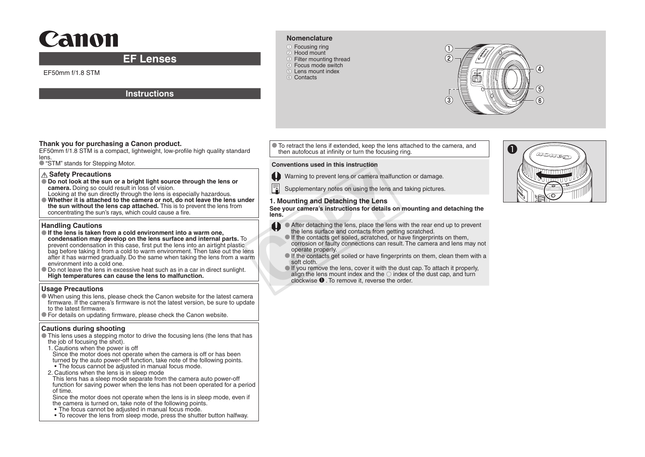# Canon

## **EF Lenses**

EF50mm f/1.8 STM

#### **Instructions**

#### **Nomenclature**

●① Focusing ring 2 Hood mount **3** Filter mounting thread 4 Focus mode switch ●⑤ Lens mount index ●⑥ Contacts



EF50mm f/1.8 STM is a compact, lightweight, low-profile high quality standard lens.

● "STM" stands for Stepping Motor.

#### **Safety Precautions**

- **Do not look at the sun or a bright light source through the lens or camera.** Doing so could result in loss of vision.
- Looking at the sun directly through the lens is especially hazardous. ● **Whether it is attached to the camera or not, do not leave the lens under**
- **the sun without the lens cap attached.** This is to prevent the lens from concentrating the sun's rays, which could cause a fire.

#### **Handling Cautions**

- **If the lens is taken from a cold environment into a warm one, condensation may develop on the lens surface and internal parts.** To prevent condensation in this case, first put the lens into an airtight plastic bag before taking it from a cold to warm environment. Then take out the lens after it has warmed gradually. Do the same when taking the lens from a warm environment into a cold one.
- Do not leave the lens in excessive heat such as in a car in direct sunlight. **High temperatures can cause the lens to malfunction.**

#### **Usage Precautions**

- When using this lens, please check the Canon website for the latest camera firmware. If the camera's firmware is not the latest version, be sure to update to the latest firmware.
- For details on updating firmware, please check the Canon website.

#### **Cautions during shooting**

- This lens uses a stepping motor to drive the focusing lens (the lens that has the job of focusing the shot).
- 1. Cautions when the power is off
- Since the motor does not operate when the camera is off or has been turned by the auto power-off function, take note of the following points. • The focus cannot be adjusted in manual focus mode.
- 2. Cautions when the lens is in sleep mode
- This lens has a sleep mode separate from the camera auto power-off function for saving power when the lens has not been operated for a period of time.
- Since the motor does not operate when the lens is in sleep mode, even if the camera is turned on, take note of the following points.
- The focus cannot be adjusted in manual focus mode.
- To recover the lens from sleep mode, press the shutter button halfway.

Thank you for purchasing a Canon product.<br>EF50mm f/1.8 STM is a compact, lightweight, low-profile high quality standard then autofocus at infinity or turn the focusing ring. then autofocus at infinity or turn the focusing ring.

#### **Conventions used in this instruction**



Warning to prevent lens or camera malfunction or damage.

Supplementary notes on using the lens and taking pictures.

#### **1. Mounting and Detaching the Lens**

**See your camera's instructions for details on mounting and detaching the lens.**

- **After detaching the lens, place the lens with the rear end up to prevent** the lens surface and contacts from getting scratched.
	- **If the contacts get soiled, scratched, or have fingerprints on them.** corrosion or faulty connections can result. The camera and lens may not operate properly.
	- If the contacts get soiled or have fingerprints on them, clean them with a soft cloth.
- $\bullet$  If you remove the lens, cover it with the dust cap. To attach it properly, align the lens mount index and the  $\circ$  index of the dust cap, and turn clockwise ●❶ . To remove it, reverse the order. Warning to prevent lens or camera malfu<br>
The Supplementary notes on using the lens<br>
are<br> **COPY 1. Mounting and Detaching the Lens**<br>
See your camera's instructions for details of<br>
tens.<br> **COPY 1.** After detaching the lens,